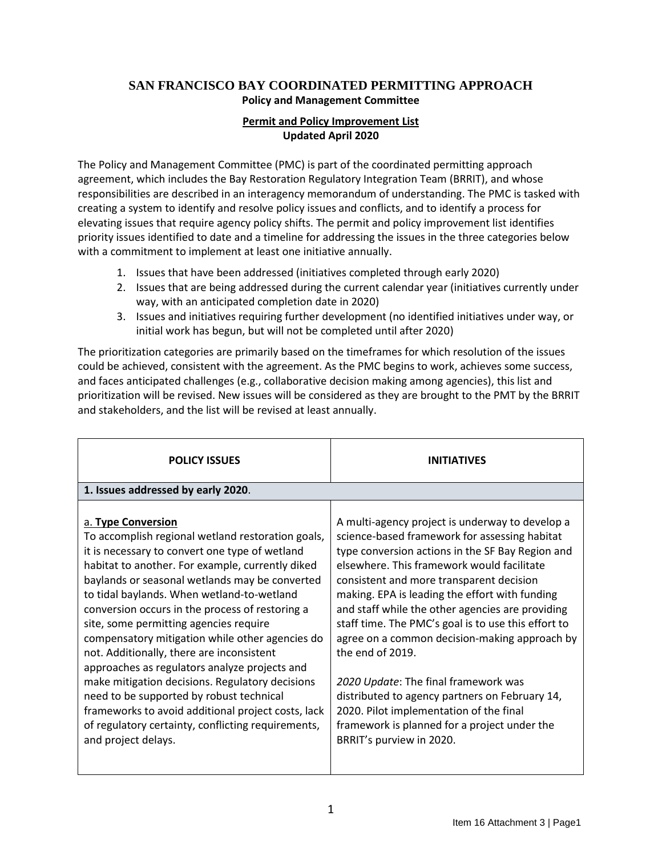## **SAN FRANCISCO BAY COORDINATED PERMITTING APPROACH Policy and Management Committee**

## **Permit and Policy Improvement List Updated April 2020**

The Policy and Management Committee (PMC) is part of the coordinated permitting approach agreement, which includes the Bay Restoration Regulatory Integration Team (BRRIT), and whose responsibilities are described in an interagency memorandum of understanding. The PMC is tasked with creating a system to identify and resolve policy issues and conflicts, and to identify a process for elevating issues that require agency policy shifts. The permit and policy improvement list identifies priority issues identified to date and a timeline for addressing the issues in the three categories below with a commitment to implement at least one initiative annually.

- 1. Issues that have been addressed (initiatives completed through early 2020)
- 2. Issues that are being addressed during the current calendar year (initiatives currently under way, with an anticipated completion date in 2020)
- 3. Issues and initiatives requiring further development (no identified initiatives under way, or initial work has begun, but will not be completed until after 2020)

The prioritization categories are primarily based on the timeframes for which resolution of the issues could be achieved, consistent with the agreement. As the PMC begins to work, achieves some success, and faces anticipated challenges (e.g., collaborative decision making among agencies), this list and prioritization will be revised. New issues will be considered as they are brought to the PMT by the BRRIT and stakeholders, and the list will be revised at least annually.

| <b>POLICY ISSUES</b>                                                                                                                                                                                                                                                                                                                                                                                                                                                                                                                                                                                                                                                                                                                                          | <b>INITIATIVES</b>                                                                                                                                                                                                                                                                                                                                                                                                                                                                                                                                                                                                                                                                                |  |
|---------------------------------------------------------------------------------------------------------------------------------------------------------------------------------------------------------------------------------------------------------------------------------------------------------------------------------------------------------------------------------------------------------------------------------------------------------------------------------------------------------------------------------------------------------------------------------------------------------------------------------------------------------------------------------------------------------------------------------------------------------------|---------------------------------------------------------------------------------------------------------------------------------------------------------------------------------------------------------------------------------------------------------------------------------------------------------------------------------------------------------------------------------------------------------------------------------------------------------------------------------------------------------------------------------------------------------------------------------------------------------------------------------------------------------------------------------------------------|--|
| 1. Issues addressed by early 2020.                                                                                                                                                                                                                                                                                                                                                                                                                                                                                                                                                                                                                                                                                                                            |                                                                                                                                                                                                                                                                                                                                                                                                                                                                                                                                                                                                                                                                                                   |  |
| a. Type Conversion<br>To accomplish regional wetland restoration goals,<br>it is necessary to convert one type of wetland<br>habitat to another. For example, currently diked<br>baylands or seasonal wetlands may be converted<br>to tidal baylands. When wetland-to-wetland<br>conversion occurs in the process of restoring a<br>site, some permitting agencies require<br>compensatory mitigation while other agencies do<br>not. Additionally, there are inconsistent<br>approaches as regulators analyze projects and<br>make mitigation decisions. Regulatory decisions<br>need to be supported by robust technical<br>frameworks to avoid additional project costs, lack<br>of regulatory certainty, conflicting requirements,<br>and project delays. | A multi-agency project is underway to develop a<br>science-based framework for assessing habitat<br>type conversion actions in the SF Bay Region and<br>elsewhere. This framework would facilitate<br>consistent and more transparent decision<br>making. EPA is leading the effort with funding<br>and staff while the other agencies are providing<br>staff time. The PMC's goal is to use this effort to<br>agree on a common decision-making approach by<br>the end of 2019.<br>2020 Update: The final framework was<br>distributed to agency partners on February 14,<br>2020. Pilot implementation of the final<br>framework is planned for a project under the<br>BRRIT's purview in 2020. |  |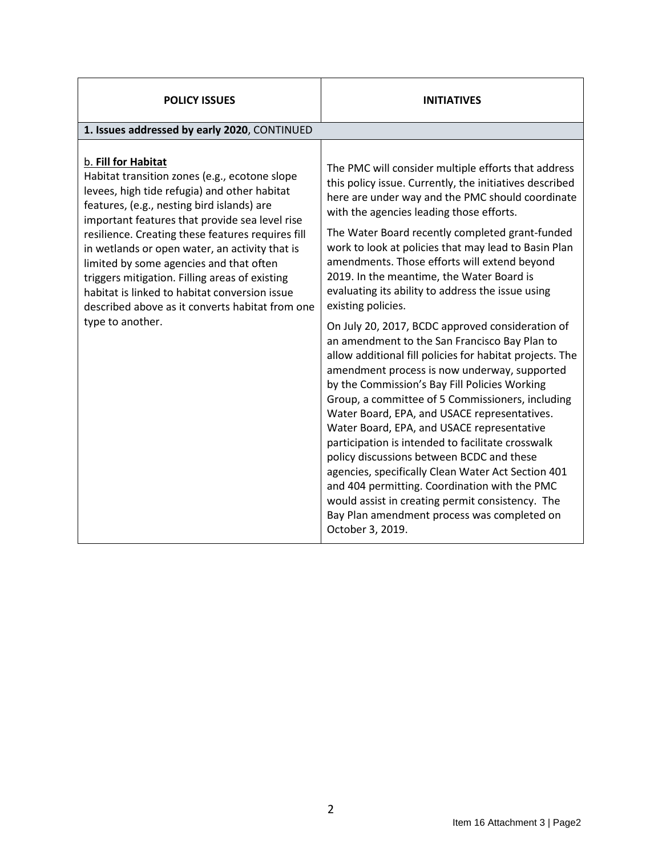| <b>POLICY ISSUES</b>                                                                                                                                                                                                                                                                                                                                                                                                                                                                                                                             | <b>INITIATIVES</b>                                                                                                                                                                                                                                                                                                                                                                                                                                                                                                                                                                                                                                                                                                                                                                                                                                                                                                                                                                                                                                                                                                                                                                                                                                    |  |
|--------------------------------------------------------------------------------------------------------------------------------------------------------------------------------------------------------------------------------------------------------------------------------------------------------------------------------------------------------------------------------------------------------------------------------------------------------------------------------------------------------------------------------------------------|-------------------------------------------------------------------------------------------------------------------------------------------------------------------------------------------------------------------------------------------------------------------------------------------------------------------------------------------------------------------------------------------------------------------------------------------------------------------------------------------------------------------------------------------------------------------------------------------------------------------------------------------------------------------------------------------------------------------------------------------------------------------------------------------------------------------------------------------------------------------------------------------------------------------------------------------------------------------------------------------------------------------------------------------------------------------------------------------------------------------------------------------------------------------------------------------------------------------------------------------------------|--|
| 1. Issues addressed by early 2020, CONTINUED                                                                                                                                                                                                                                                                                                                                                                                                                                                                                                     |                                                                                                                                                                                                                                                                                                                                                                                                                                                                                                                                                                                                                                                                                                                                                                                                                                                                                                                                                                                                                                                                                                                                                                                                                                                       |  |
| b. Fill for Habitat<br>Habitat transition zones (e.g., ecotone slope<br>levees, high tide refugia) and other habitat<br>features, (e.g., nesting bird islands) are<br>important features that provide sea level rise<br>resilience. Creating these features requires fill<br>in wetlands or open water, an activity that is<br>limited by some agencies and that often<br>triggers mitigation. Filling areas of existing<br>habitat is linked to habitat conversion issue<br>described above as it converts habitat from one<br>type to another. | The PMC will consider multiple efforts that address<br>this policy issue. Currently, the initiatives described<br>here are under way and the PMC should coordinate<br>with the agencies leading those efforts.<br>The Water Board recently completed grant-funded<br>work to look at policies that may lead to Basin Plan<br>amendments. Those efforts will extend beyond<br>2019. In the meantime, the Water Board is<br>evaluating its ability to address the issue using<br>existing policies.<br>On July 20, 2017, BCDC approved consideration of<br>an amendment to the San Francisco Bay Plan to<br>allow additional fill policies for habitat projects. The<br>amendment process is now underway, supported<br>by the Commission's Bay Fill Policies Working<br>Group, a committee of 5 Commissioners, including<br>Water Board, EPA, and USACE representatives.<br>Water Board, EPA, and USACE representative<br>participation is intended to facilitate crosswalk<br>policy discussions between BCDC and these<br>agencies, specifically Clean Water Act Section 401<br>and 404 permitting. Coordination with the PMC<br>would assist in creating permit consistency. The<br>Bay Plan amendment process was completed on<br>October 3, 2019. |  |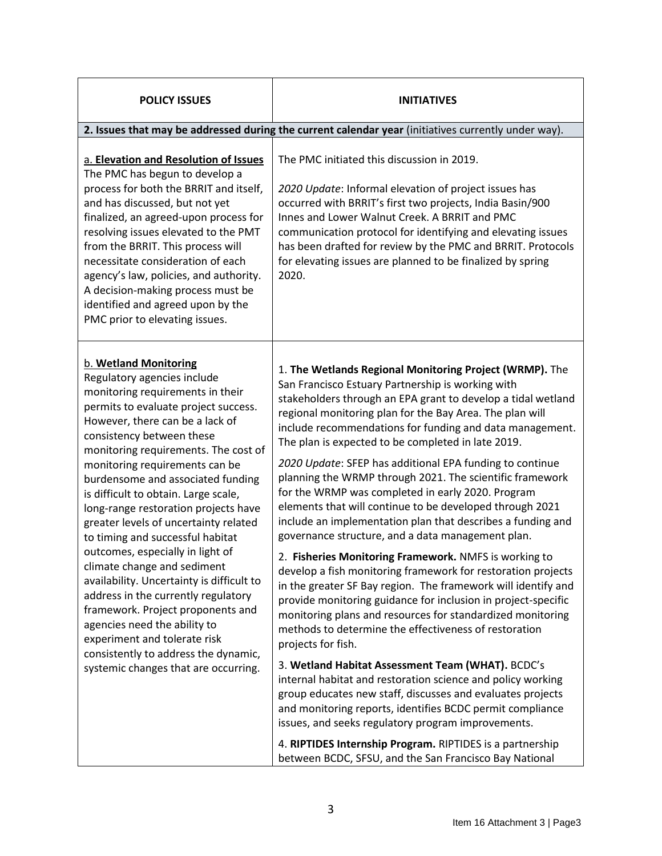| <b>POLICY ISSUES</b>                                                                                                                                                                                                                                                                                                                                                                                                                                                                                                                                                                                                                                                                                                                                                                                                            | <b>INITIATIVES</b>                                                                                                                                                                                                                                                                                                                                                                                                                                                                                                                                                                                                                                                                                                                                                                                                                                                                                                                                                                                                                                                                                                                                                                                                                                                                                                                                                                                                                                                                                                                                          |  |
|---------------------------------------------------------------------------------------------------------------------------------------------------------------------------------------------------------------------------------------------------------------------------------------------------------------------------------------------------------------------------------------------------------------------------------------------------------------------------------------------------------------------------------------------------------------------------------------------------------------------------------------------------------------------------------------------------------------------------------------------------------------------------------------------------------------------------------|-------------------------------------------------------------------------------------------------------------------------------------------------------------------------------------------------------------------------------------------------------------------------------------------------------------------------------------------------------------------------------------------------------------------------------------------------------------------------------------------------------------------------------------------------------------------------------------------------------------------------------------------------------------------------------------------------------------------------------------------------------------------------------------------------------------------------------------------------------------------------------------------------------------------------------------------------------------------------------------------------------------------------------------------------------------------------------------------------------------------------------------------------------------------------------------------------------------------------------------------------------------------------------------------------------------------------------------------------------------------------------------------------------------------------------------------------------------------------------------------------------------------------------------------------------------|--|
| 2. Issues that may be addressed during the current calendar year (initiatives currently under way).                                                                                                                                                                                                                                                                                                                                                                                                                                                                                                                                                                                                                                                                                                                             |                                                                                                                                                                                                                                                                                                                                                                                                                                                                                                                                                                                                                                                                                                                                                                                                                                                                                                                                                                                                                                                                                                                                                                                                                                                                                                                                                                                                                                                                                                                                                             |  |
| a. Elevation and Resolution of Issues<br>The PMC has begun to develop a<br>process for both the BRRIT and itself,<br>and has discussed, but not yet<br>finalized, an agreed-upon process for<br>resolving issues elevated to the PMT<br>from the BRRIT. This process will<br>necessitate consideration of each<br>agency's law, policies, and authority.<br>A decision-making process must be<br>identified and agreed upon by the<br>PMC prior to elevating issues.                                                                                                                                                                                                                                                                                                                                                            | The PMC initiated this discussion in 2019.<br>2020 Update: Informal elevation of project issues has<br>occurred with BRRIT's first two projects, India Basin/900<br>Innes and Lower Walnut Creek, A BRRIT and PMC<br>communication protocol for identifying and elevating issues<br>has been drafted for review by the PMC and BRRIT. Protocols<br>for elevating issues are planned to be finalized by spring<br>2020.                                                                                                                                                                                                                                                                                                                                                                                                                                                                                                                                                                                                                                                                                                                                                                                                                                                                                                                                                                                                                                                                                                                                      |  |
| <b>b. Wetland Monitoring</b><br>Regulatory agencies include<br>monitoring requirements in their<br>permits to evaluate project success.<br>However, there can be a lack of<br>consistency between these<br>monitoring requirements. The cost of<br>monitoring requirements can be<br>burdensome and associated funding<br>is difficult to obtain. Large scale,<br>long-range restoration projects have<br>greater levels of uncertainty related<br>to timing and successful habitat<br>outcomes, especially in light of<br>climate change and sediment<br>availability. Uncertainty is difficult to<br>address in the currently regulatory<br>framework. Project proponents and<br>agencies need the ability to<br>experiment and tolerate risk<br>consistently to address the dynamic,<br>systemic changes that are occurring. | 1. The Wetlands Regional Monitoring Project (WRMP). The<br>San Francisco Estuary Partnership is working with<br>stakeholders through an EPA grant to develop a tidal wetland<br>regional monitoring plan for the Bay Area. The plan will<br>include recommendations for funding and data management.<br>The plan is expected to be completed in late 2019.<br>2020 Update: SFEP has additional EPA funding to continue<br>planning the WRMP through 2021. The scientific framework<br>for the WRMP was completed in early 2020. Program<br>elements that will continue to be developed through 2021<br>include an implementation plan that describes a funding and<br>governance structure, and a data management plan.<br>2. Fisheries Monitoring Framework. NMFS is working to<br>develop a fish monitoring framework for restoration projects<br>in the greater SF Bay region. The framework will identify and<br>provide monitoring guidance for inclusion in project-specific<br>monitoring plans and resources for standardized monitoring<br>methods to determine the effectiveness of restoration<br>projects for fish.<br>3. Wetland Habitat Assessment Team (WHAT). BCDC's<br>internal habitat and restoration science and policy working<br>group educates new staff, discusses and evaluates projects<br>and monitoring reports, identifies BCDC permit compliance<br>issues, and seeks regulatory program improvements.<br>4. RIPTIDES Internship Program. RIPTIDES is a partnership<br>between BCDC, SFSU, and the San Francisco Bay National |  |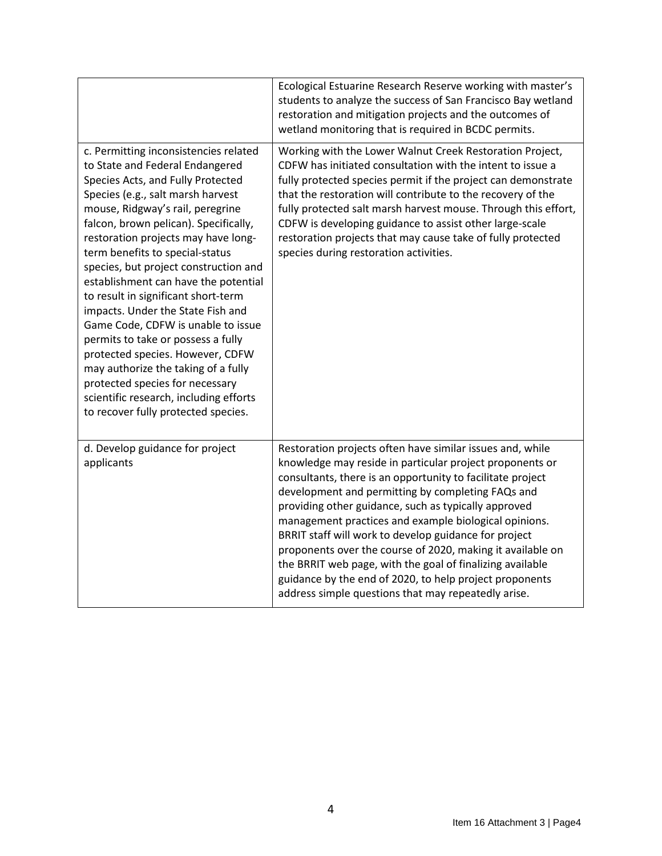|                                                                                                                                                                                                                                                                                                                                                                                                                                                                                                                                                                                                                                                                                                                                                   | Ecological Estuarine Research Reserve working with master's<br>students to analyze the success of San Francisco Bay wetland<br>restoration and mitigation projects and the outcomes of<br>wetland monitoring that is required in BCDC permits.                                                                                                                                                                                                                                                                                                                                                                                                                  |
|---------------------------------------------------------------------------------------------------------------------------------------------------------------------------------------------------------------------------------------------------------------------------------------------------------------------------------------------------------------------------------------------------------------------------------------------------------------------------------------------------------------------------------------------------------------------------------------------------------------------------------------------------------------------------------------------------------------------------------------------------|-----------------------------------------------------------------------------------------------------------------------------------------------------------------------------------------------------------------------------------------------------------------------------------------------------------------------------------------------------------------------------------------------------------------------------------------------------------------------------------------------------------------------------------------------------------------------------------------------------------------------------------------------------------------|
| c. Permitting inconsistencies related<br>to State and Federal Endangered<br>Species Acts, and Fully Protected<br>Species (e.g., salt marsh harvest<br>mouse, Ridgway's rail, peregrine<br>falcon, brown pelican). Specifically,<br>restoration projects may have long-<br>term benefits to special-status<br>species, but project construction and<br>establishment can have the potential<br>to result in significant short-term<br>impacts. Under the State Fish and<br>Game Code, CDFW is unable to issue<br>permits to take or possess a fully<br>protected species. However, CDFW<br>may authorize the taking of a fully<br>protected species for necessary<br>scientific research, including efforts<br>to recover fully protected species. | Working with the Lower Walnut Creek Restoration Project,<br>CDFW has initiated consultation with the intent to issue a<br>fully protected species permit if the project can demonstrate<br>that the restoration will contribute to the recovery of the<br>fully protected salt marsh harvest mouse. Through this effort,<br>CDFW is developing guidance to assist other large-scale<br>restoration projects that may cause take of fully protected<br>species during restoration activities.                                                                                                                                                                    |
| d. Develop guidance for project<br>applicants                                                                                                                                                                                                                                                                                                                                                                                                                                                                                                                                                                                                                                                                                                     | Restoration projects often have similar issues and, while<br>knowledge may reside in particular project proponents or<br>consultants, there is an opportunity to facilitate project<br>development and permitting by completing FAQs and<br>providing other guidance, such as typically approved<br>management practices and example biological opinions.<br>BRRIT staff will work to develop guidance for project<br>proponents over the course of 2020, making it available on<br>the BRRIT web page, with the goal of finalizing available<br>guidance by the end of 2020, to help project proponents<br>address simple questions that may repeatedly arise. |